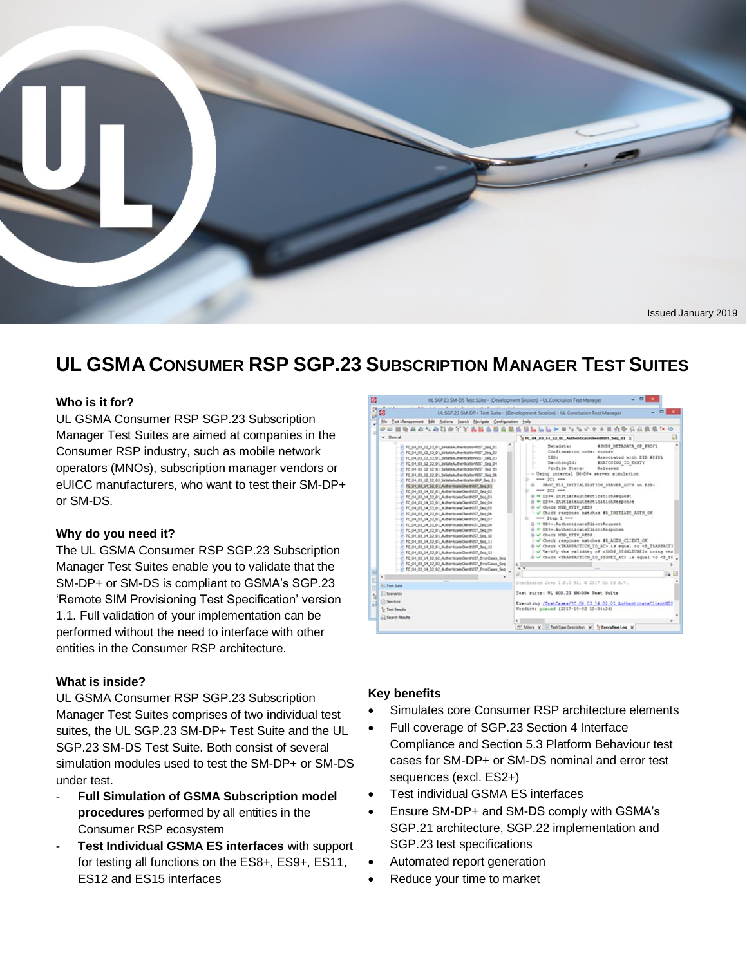

# **UL GSMA CONSUMER RSP SGP.23 SUBSCRIPTION MANAGER TEST SUITES**

#### **Who is it for?**

UL GSMA Consumer RSP SGP.23 Subscription Manager Test Suites are aimed at companies in the Consumer RSP industry, such as mobile network operators (MNOs), subscription manager vendors or eUICC manufacturers, who want to test their SM-DP+ or SM-DS.

#### **Why do you need it?**

The UL GSMA Consumer RSP SGP.23 Subscription Manager Test Suites enable you to validate that the SM-DP+ or SM-DS is compliant to GSMA's SGP.23 'Remote SIM Provisioning Test Specification' version 1.1. Full validation of your implementation can be performed without the need to interface with other entities in the Consumer RSP architecture.

#### **What is inside?**

UL GSMA Consumer RSP SGP.23 Subscription Manager Test Suites comprises of two individual test suites, the UL SGP.23 SM-DP+ Test Suite and the UL SGP.23 SM-DS Test Suite. Both consist of several simulation modules used to test the SM-DP+ or SM-DS under test.

- **Full Simulation of GSMA Subscription model procedures** performed by all entities in the Consumer RSP ecosystem
- **Test Individual GSMA ES interfaces** with support for testing all functions on the ES8+, ES9+, ES11, ES12 and ES15 interfaces



#### **Key benefits**

- Simulates core Consumer RSP architecture elements
- Full coverage of SGP.23 Section 4 Interface Compliance and Section 5.3 Platform Behaviour test cases for SM-DP+ or SM-DS nominal and error test sequences (excl. ES2+)
- Test individual GSMA ES interfaces
- Ensure SM-DP+ and SM-DS comply with GSMA's SGP.21 architecture, SGP.22 implementation and SGP.23 test specifications
- Automated report generation
- Reduce your time to market